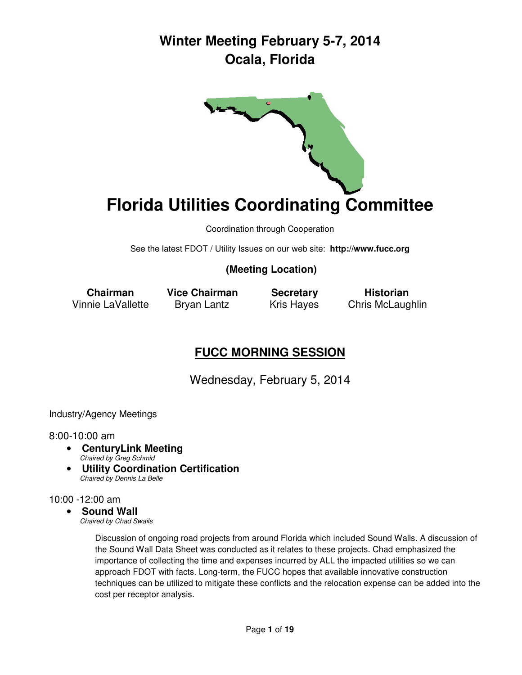

# **Florida Utilities Coordinating Committee**

Coordination through Cooperation

See the latest FDOT / Utility Issues on our web site: **http://www.fucc.org**

### **(Meeting Location)**

 **Chairman Vice Chairman Secretary Historian** Vinnie LaVallette Bryan Lantz Kris Hayes Chris McLaughlin

### **FUCC MORNING SESSION**

Wednesday, February 5, 2014

Industry/Agency Meetings

#### 8:00-10:00 am

- **CenturyLink Meeting**  Chaired by Greg Schmid
- **Utility Coordination Certification** Chaired by Dennis La Belle

#### 10:00 -12:00 am

#### • **Sound Wall**

Chaired by Chad Swails

Discussion of ongoing road projects from around Florida which included Sound Walls. A discussion of the Sound Wall Data Sheet was conducted as it relates to these projects. Chad emphasized the importance of collecting the time and expenses incurred by ALL the impacted utilities so we can approach FDOT with facts. Long-term, the FUCC hopes that available innovative construction techniques can be utilized to mitigate these conflicts and the relocation expense can be added into the cost per receptor analysis.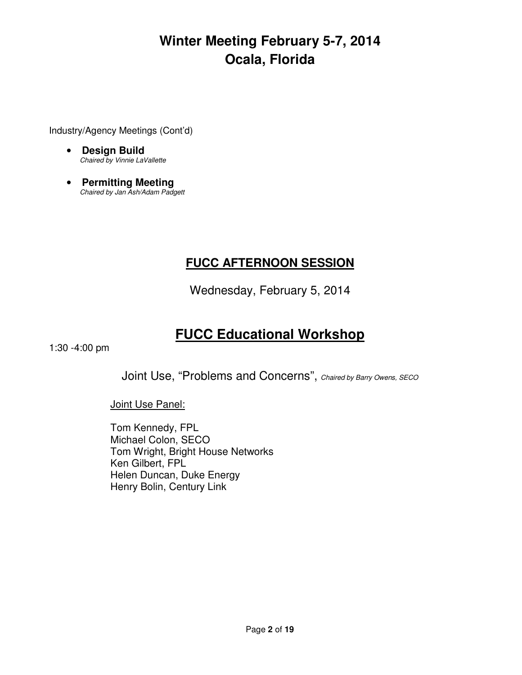Industry/Agency Meetings (Cont'd)

- **Design Build**  Chaired by Vinnie LaVallette
- **Permitting Meeting**  Chaired by Jan Ash/Adam Padgett

### **FUCC AFTERNOON SESSION**

Wednesday, February 5, 2014

### **FUCC Educational Workshop**

1:30 -4:00 pm

Joint Use, "Problems and Concerns", Chaired by Barry Owens, SECO

Joint Use Panel:

Tom Kennedy, FPL Michael Colon, SECO Tom Wright, Bright House Networks Ken Gilbert, FPL Helen Duncan, Duke Energy Henry Bolin, Century Link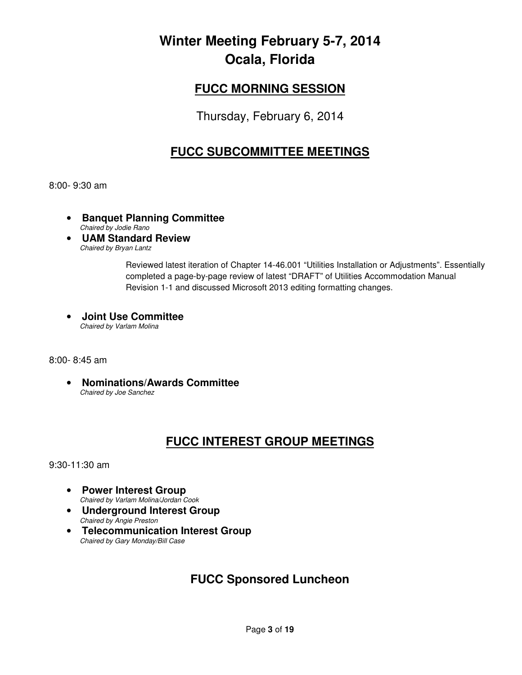### **FUCC MORNING SESSION**

Thursday, February 6, 2014

### **FUCC SUBCOMMITTEE MEETINGS**

8:00- 9:30 am

- **Banquet Planning Committee**  Chaired by Jodie Rano
- **UAM Standard Review** Chaired by Bryan Lantz

Reviewed latest iteration of Chapter 14-46.001 "Utilities Installation or Adjustments". Essentially completed a page-by-page review of latest "DRAFT" of Utilities Accommodation Manual Revision 1-1 and discussed Microsoft 2013 editing formatting changes.

• **Joint Use Committee**  Chaired by Varlam Molina

#### 8:00- 8:45 am

• **Nominations/Awards Committee**  Chaired by Joe Sanchez

### **FUCC INTEREST GROUP MEETINGS**

9:30-11:30 am

- **Power Interest Group**  Chaired by Varlam Molina/Jordan Cook
- **Underground Interest Group** Chaired by Angie Preston
- **Telecommunication Interest Group**  Chaired by Gary Monday/Bill Case

### **FUCC Sponsored Luncheon**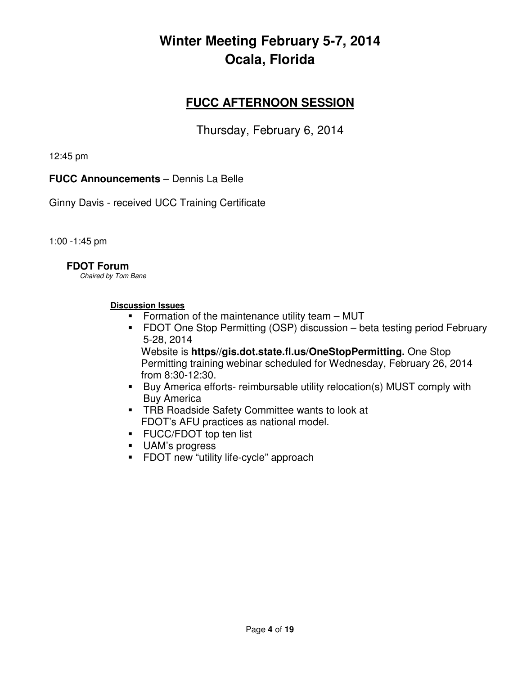### **FUCC AFTERNOON SESSION**

Thursday, February 6, 2014

12:45 pm

**FUCC Announcements** – Dennis La Belle

Ginny Davis - received UCC Training Certificate

1:00 -1:45 pm

#### **FDOT Forum**

Chaired by Tom Bane

#### **Discussion Issues**

- **Formation of the maintenance utility team MUT**
- FDOT One Stop Permitting (OSP) discussion beta testing period February 5-28, 2014

Website is **https//gis.dot.state.fl.us/OneStopPermitting.** One Stop Permitting training webinar scheduled for Wednesday, February 26, 2014 from 8:30-12:30.

- Buy America efforts- reimbursable utility relocation(s) MUST comply with Buy America
- **TRB Roadside Safety Committee wants to look at** FDOT's AFU practices as national model.
- **FUCC/FDOT top ten list**
- UAM's progress
- **FDOT new "utility life-cycle" approach**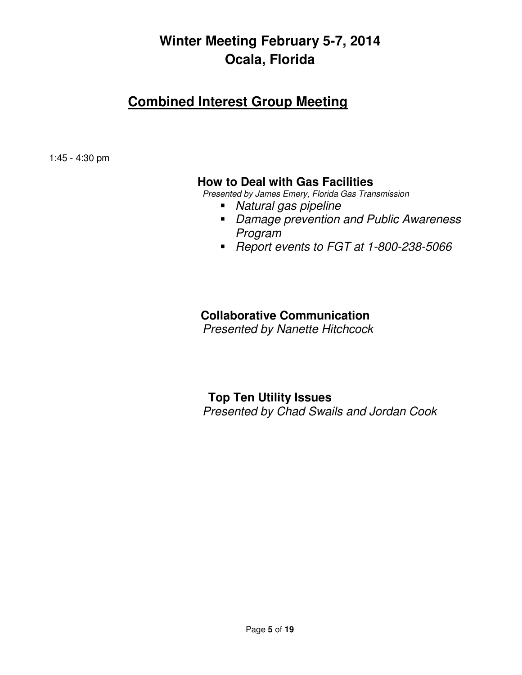### **Combined Interest Group Meeting**

1:45 - 4:30 pm

### **How to Deal with Gas Facilities**

Presented by James Emery, Florida Gas Transmission

- Natural gas pipeline
- Damage prevention and Public Awareness Program
- Report events to FGT at 1-800-238-5066

### **Collaborative Communication**

Presented by Nanette Hitchcock

### **Top Ten Utility Issues**  Presented by Chad Swails and Jordan Cook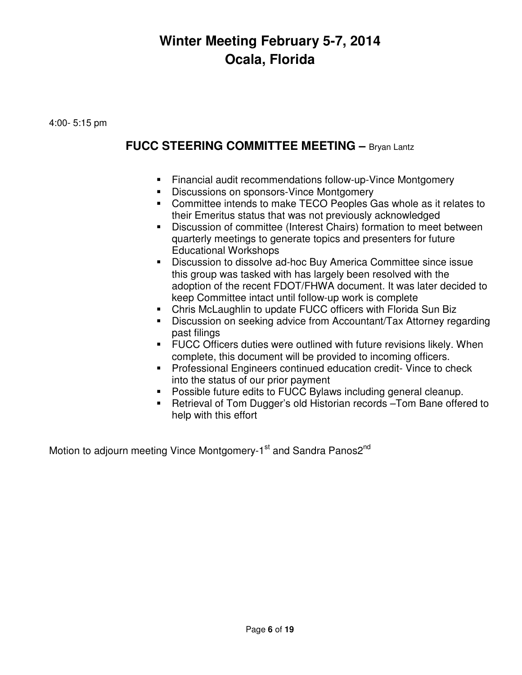4:00- 5:15 pm

### **FUCC STEERING COMMITTEE MEETING –** Bryan Lantz

- Financial audit recommendations follow-up-Vince Montgomery
- Discussions on sponsors-Vince Montgomery
- Committee intends to make TECO Peoples Gas whole as it relates to their Emeritus status that was not previously acknowledged
- Discussion of committee (Interest Chairs) formation to meet between quarterly meetings to generate topics and presenters for future Educational Workshops
- Discussion to dissolve ad-hoc Buy America Committee since issue this group was tasked with has largely been resolved with the adoption of the recent FDOT/FHWA document. It was later decided to keep Committee intact until follow-up work is complete
- Chris McLaughlin to update FUCC officers with Florida Sun Biz
- Discussion on seeking advice from Accountant/Tax Attorney regarding past filings
- FUCC Officers duties were outlined with future revisions likely. When complete, this document will be provided to incoming officers.
- **Professional Engineers continued education credit- Vince to check** into the status of our prior payment
- Possible future edits to FUCC Bylaws including general cleanup.
- Retrieval of Tom Dugger's old Historian records –Tom Bane offered to help with this effort

Motion to adjourn meeting Vince Montgomery-1<sup>st</sup> and Sandra Panos2<sup>nd</sup>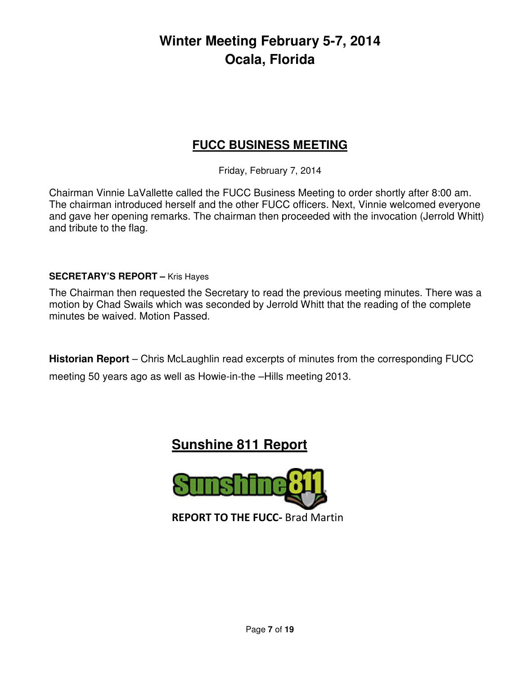### **FUCC BUSINESS MEETING**

Friday, February 7, 2014

Chairman Vinnie LaVallette called the FUCC Business Meeting to order shortly after 8:00 am. The chairman introduced herself and the other FUCC officers. Next, Vinnie welcomed everyone and gave her opening remarks. The chairman then proceeded with the invocation (Jerrold Whitt) and tribute to the flag.

#### **SECRETARY'S REPORT –** Kris Hayes

The Chairman then requested the Secretary to read the previous meeting minutes. There was a motion by Chad Swails which was seconded by Jerrold Whitt that the reading of the complete minutes be waived. Motion Passed.

**Historian Report** – Chris McLaughlin read excerpts of minutes from the corresponding FUCC meeting 50 years ago as well as Howie-in-the –Hills meeting 2013.

### **Sunshine 811 Report**

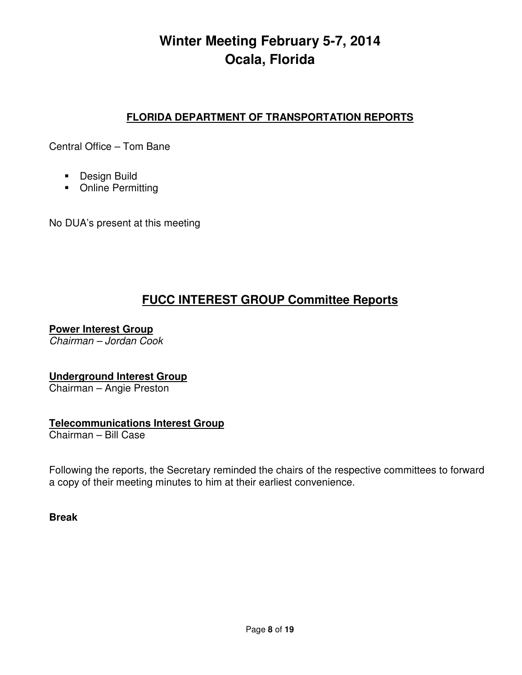### **FLORIDA DEPARTMENT OF TRANSPORTATION REPORTS**

Central Office – Tom Bane

- **Design Build**
- Online Permitting

No DUA's present at this meeting

### **FUCC INTEREST GROUP Committee Reports**

**Power Interest Group** 

Chairman – Jordan Cook

#### **Underground Interest Group**

Chairman – Angie Preston

#### **Telecommunications Interest Group**

Chairman – Bill Case

Following the reports, the Secretary reminded the chairs of the respective committees to forward a copy of their meeting minutes to him at their earliest convenience.

**Break**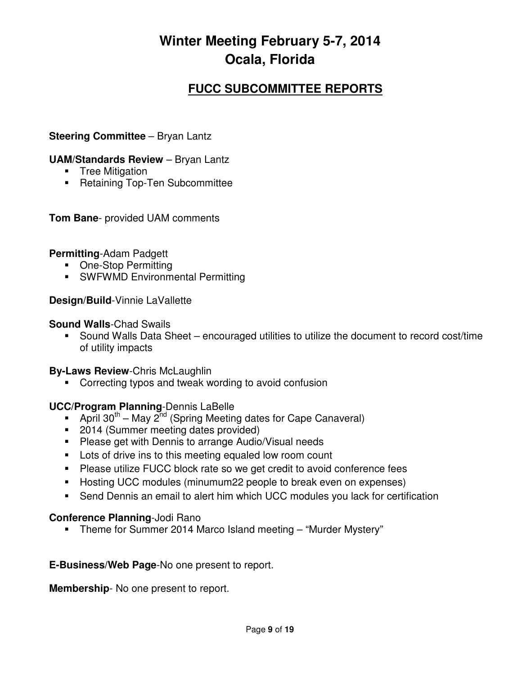### **FUCC SUBCOMMITTEE REPORTS**

#### **Steering Committee** – Bryan Lantz

#### **UAM/Standards Review** – Bryan Lantz

- **Tree Mitigation**
- **Retaining Top-Ten Subcommittee**

**Tom Bane**- provided UAM comments

#### **Permitting**-Adam Padgett

- One-Stop Permitting
- **SWFWMD Environmental Permitting**

#### **Design/Build**-Vinnie LaVallette

#### **Sound Walls**-Chad Swails

 Sound Walls Data Sheet – encouraged utilities to utilize the document to record cost/time of utility impacts

#### **By-Laws Review**-Chris McLaughlin

Correcting typos and tweak wording to avoid confusion

#### **UCC/Program Planning**-Dennis LaBelle

- April 30<sup>th</sup> May 2<sup>nd</sup> (Spring Meeting dates for Cape Canaveral)
- 2014 (Summer meeting dates provided)
- **Please get with Dennis to arrange Audio/Visual needs**
- **Lots of drive ins to this meeting equaled low room count**
- Please utilize FUCC block rate so we get credit to avoid conference fees
- Hosting UCC modules (minumum22 people to break even on expenses)
- Send Dennis an email to alert him which UCC modules you lack for certification

#### **Conference Planning**-Jodi Rano

Theme for Summer 2014 Marco Island meeting – "Murder Mystery"

#### **E-Business/Web Page**-No one present to report.

**Membership**- No one present to report.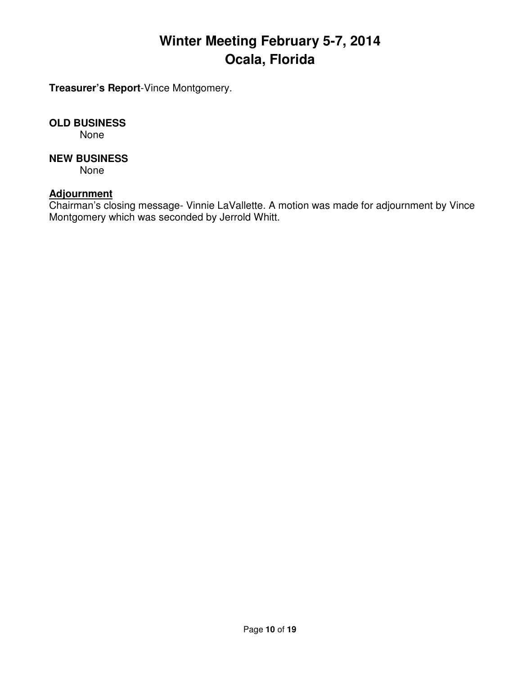**Treasurer's Report**-Vince Montgomery.

#### **OLD BUSINESS**

None

#### **NEW BUSINESS**

None

### **Adjournment**

Chairman's closing message- Vinnie LaVallette. A motion was made for adjournment by Vince Montgomery which was seconded by Jerrold Whitt.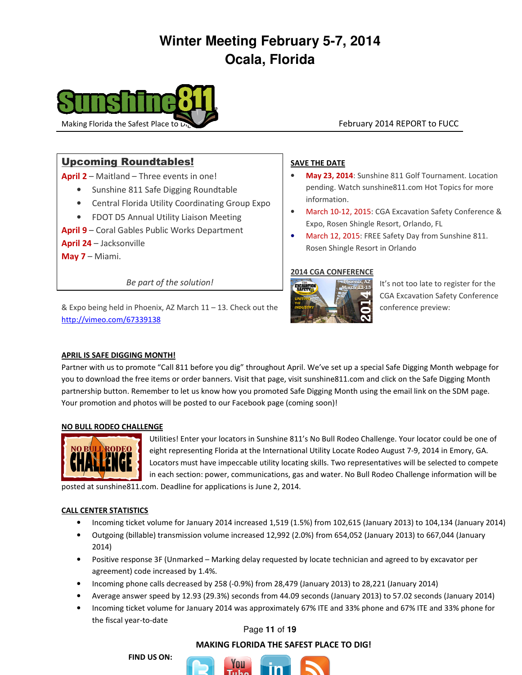

#### Upcoming Roundtables!

April 2 – Maitland – Three events in one!

- Sunshine 811 Safe Digging Roundtable
- Central Florida Utility Coordinating Group Expo
- FDOT D5 Annual Utility Liaison Meeting
- April 9 Coral Gables Public Works Department

April 24 – Jacksonville

May 7 – Miami.

Be part of the solution!

& Expo being held in Phoenix, AZ March  $11 - 13$ . Check out the conference preview: http://vimeo.com/67339138

#### SAVE THE DATE

- May 23, 2014: Sunshine 811 Golf Tournament. Location pending. Watch sunshine811.com Hot Topics for more information.
- March 10-12, 2015: CGA Excavation Safety Conference & Expo, Rosen Shingle Resort, Orlando, FL
- March 12, 2015: FREE Safety Day from Sunshine 811. Rosen Shingle Resort in Orlando

#### 2014 CGA CONFERENCE



It's not too late to register for the CGA Excavation Safety Conference

#### APRIL IS SAFE DIGGING MONTH!

Partner with us to promote "Call 811 before you dig" throughout April. We've set up a special Safe Digging Month webpage for you to download the free items or order banners. Visit that page, visit sunshine811.com and click on the Safe Digging Month partnership button. Remember to let us know how you promoted Safe Digging Month using the email link on the SDM page. Your promotion and photos will be posted to our Facebook page (coming soon)!

#### NO BULL RODEO CHALLENGE



Utilities! Enter your locators in Sunshine 811's No Bull Rodeo Challenge. Your locator could be one of eight representing Florida at the International Utility Locate Rodeo August 7-9, 2014 in Emory, GA. Locators must have impeccable utility locating skills. Two representatives will be selected to compete in each section: power, communications, gas and water. No Bull Rodeo Challenge information will be

posted at sunshine811.com. Deadline for applications is June 2, 2014.

#### CALL CENTER STATISTICS

- Incoming ticket volume for January 2014 increased 1,519 (1.5%) from 102,615 (January 2013) to 104,134 (January 2014)
- Outgoing (billable) transmission volume increased 12,992 (2.0%) from 654,052 (January 2013) to 667,044 (January 2014)
- Positive response 3F (Unmarked Marking delay requested by locate technician and agreed to by excavator per agreement) code increased by 1.4%.
- Incoming phone calls decreased by 258 (-0.9%) from 28,479 (January 2013) to 28,221 (January 2014)
- Average answer speed by 12.93 (29.3%) seconds from 44.09 seconds (January 2013) to 57.02 seconds (January 2014)
- Incoming ticket volume for January 2014 was approximately 67% ITE and 33% phone and 67% ITE and 33% phone for the fiscal year-to-date

#### Page **11** of **19**

#### MAKING FLORIDA THE SAFEST PLACE TO DIG!

FIND US ON:

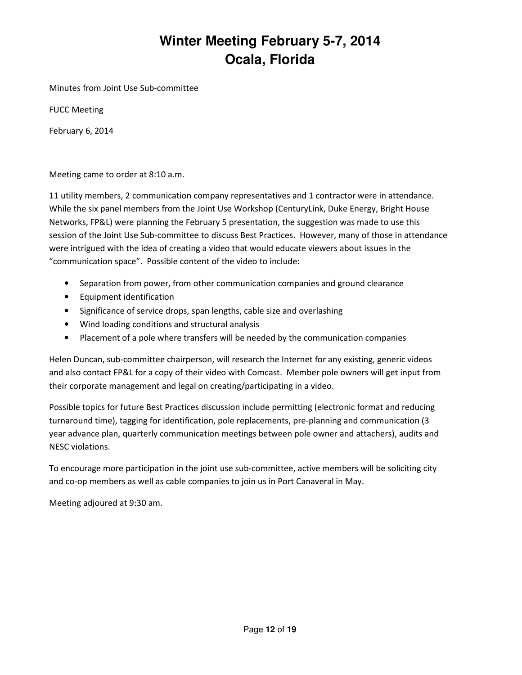Minutes from Joint Use Sub-committee

FUCC Meeting

February 6, 2014

Meeting came to order at 8:10 a.m.

11 utility members, 2 communication company representatives and 1 contractor were in attendance. While the six panel members from the Joint Use Workshop (CenturyLink, Duke Energy, Bright House Networks, FP&L) were planning the February 5 presentation, the suggestion was made to use this session of the Joint Use Sub-committee to discuss Best Practices. However, many of those in attendance were intrigued with the idea of creating a video that would educate viewers about issues in the "communication space". Possible content of the video to include:

- Separation from power, from other communication companies and ground clearance
- Equipment identification
- Significance of service drops, span lengths, cable size and overlashing
- Wind loading conditions and structural analysis
- Placement of a pole where transfers will be needed by the communication companies

Helen Duncan, sub-committee chairperson, will research the Internet for any existing, generic videos and also contact FP&L for a copy of their video with Comcast. Member pole owners will get input from their corporate management and legal on creating/participating in a video.

Possible topics for future Best Practices discussion include permitting (electronic format and reducing turnaround time), tagging for identification, pole replacements, pre-planning and communication (3 year advance plan, quarterly communication meetings between pole owner and attachers), audits and NESC violations.

To encourage more participation in the joint use sub-committee, active members will be soliciting city and co-op members as well as cable companies to join us in Port Canaveral in May.

Meeting adjoured at 9:30 am.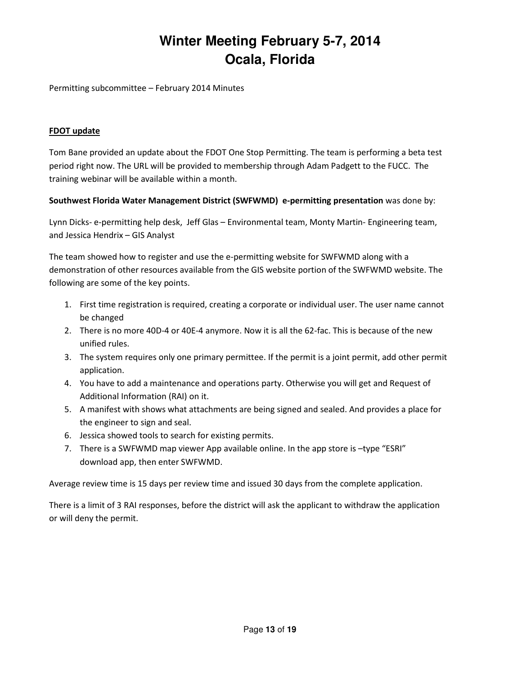Permitting subcommittee – February 2014 Minutes

#### FDOT update

Tom Bane provided an update about the FDOT One Stop Permitting. The team is performing a beta test period right now. The URL will be provided to membership through Adam Padgett to the FUCC. The training webinar will be available within a month.

#### Southwest Florida Water Management District (SWFWMD) e-permitting presentation was done by:

Lynn Dicks- e-permitting help desk, Jeff Glas – Environmental team, Monty Martin- Engineering team, and Jessica Hendrix – GIS Analyst

The team showed how to register and use the e-permitting website for SWFWMD along with a demonstration of other resources available from the GIS website portion of the SWFWMD website. The following are some of the key points.

- 1. First time registration is required, creating a corporate or individual user. The user name cannot be changed
- 2. There is no more 40D-4 or 40E-4 anymore. Now it is all the 62-fac. This is because of the new unified rules.
- 3. The system requires only one primary permittee. If the permit is a joint permit, add other permit application.
- 4. You have to add a maintenance and operations party. Otherwise you will get and Request of Additional Information (RAI) on it.
- 5. A manifest with shows what attachments are being signed and sealed. And provides a place for the engineer to sign and seal.
- 6. Jessica showed tools to search for existing permits.
- 7. There is a SWFWMD map viewer App available online. In the app store is -type "ESRI" download app, then enter SWFWMD.

Average review time is 15 days per review time and issued 30 days from the complete application.

There is a limit of 3 RAI responses, before the district will ask the applicant to withdraw the application or will deny the permit.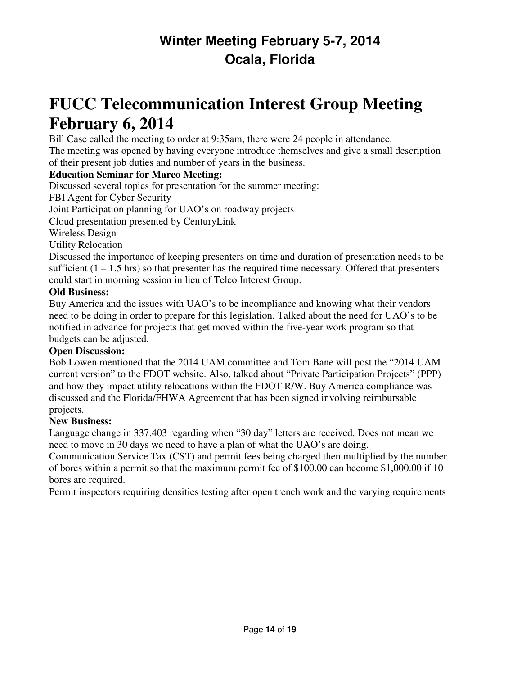# **FUCC Telecommunication Interest Group Meeting February 6, 2014**

Bill Case called the meeting to order at 9:35am, there were 24 people in attendance. The meeting was opened by having everyone introduce themselves and give a small description of their present job duties and number of years in the business.

#### **Education Seminar for Marco Meeting:**

Discussed several topics for presentation for the summer meeting:

FBI Agent for Cyber Security

Joint Participation planning for UAO's on roadway projects

Cloud presentation presented by CenturyLink

Wireless Design

Utility Relocation

Discussed the importance of keeping presenters on time and duration of presentation needs to be sufficient  $(1 - 1.5 \text{ hrs})$  so that presenter has the required time necessary. Offered that presenters could start in morning session in lieu of Telco Interest Group.

#### **Old Business:**

Buy America and the issues with UAO's to be incompliance and knowing what their vendors need to be doing in order to prepare for this legislation. Talked about the need for UAO's to be notified in advance for projects that get moved within the five-year work program so that budgets can be adjusted.

#### **Open Discussion:**

Bob Lowen mentioned that the 2014 UAM committee and Tom Bane will post the "2014 UAM current version" to the FDOT website. Also, talked about "Private Participation Projects" (PPP) and how they impact utility relocations within the FDOT R/W. Buy America compliance was discussed and the Florida/FHWA Agreement that has been signed involving reimbursable projects.

#### **New Business:**

Language change in 337.403 regarding when "30 day" letters are received. Does not mean we need to move in 30 days we need to have a plan of what the UAO's are doing.

Communication Service Tax (CST) and permit fees being charged then multiplied by the number of bores within a permit so that the maximum permit fee of \$100.00 can become \$1,000.00 if 10 bores are required.

Permit inspectors requiring densities testing after open trench work and the varying requirements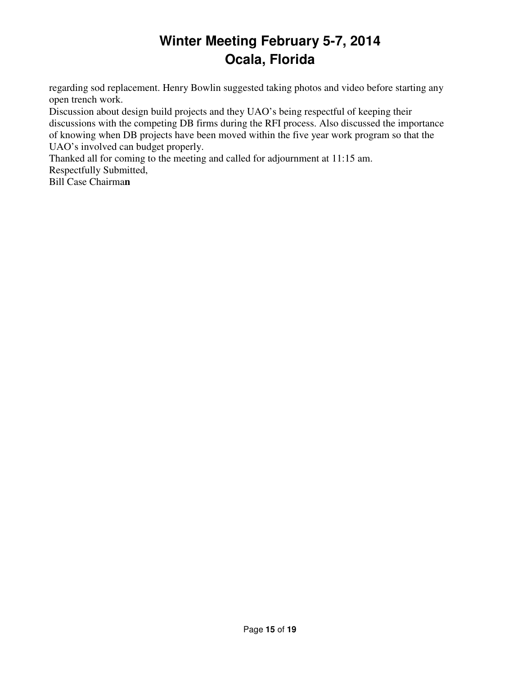regarding sod replacement. Henry Bowlin suggested taking photos and video before starting any open trench work.

Discussion about design build projects and they UAO's being respectful of keeping their discussions with the competing DB firms during the RFI process. Also discussed the importance of knowing when DB projects have been moved within the five year work program so that the UAO's involved can budget properly.

Thanked all for coming to the meeting and called for adjournment at 11:15 am. Respectfully Submitted,

Bill Case Chairma**n**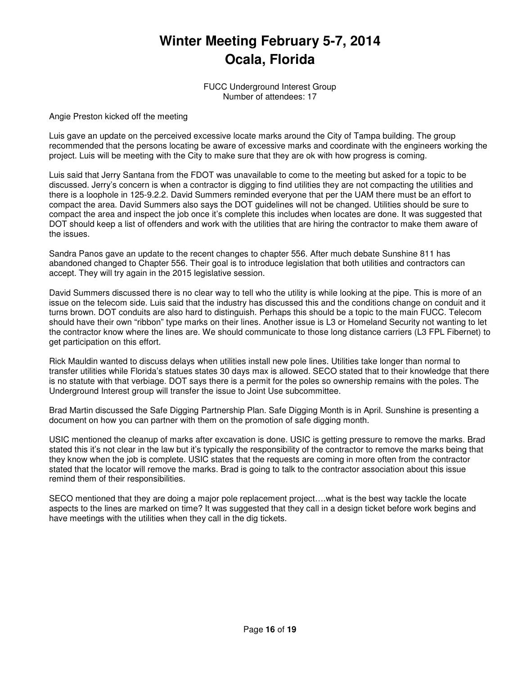FUCC Underground Interest Group Number of attendees: 17

Angie Preston kicked off the meeting

Luis gave an update on the perceived excessive locate marks around the City of Tampa building. The group recommended that the persons locating be aware of excessive marks and coordinate with the engineers working the project. Luis will be meeting with the City to make sure that they are ok with how progress is coming.

Luis said that Jerry Santana from the FDOT was unavailable to come to the meeting but asked for a topic to be discussed. Jerry's concern is when a contractor is digging to find utilities they are not compacting the utilities and there is a loophole in 125-9.2.2. David Summers reminded everyone that per the UAM there must be an effort to compact the area. David Summers also says the DOT guidelines will not be changed. Utilities should be sure to compact the area and inspect the job once it's complete this includes when locates are done. It was suggested that DOT should keep a list of offenders and work with the utilities that are hiring the contractor to make them aware of the issues.

Sandra Panos gave an update to the recent changes to chapter 556. After much debate Sunshine 811 has abandoned changed to Chapter 556. Their goal is to introduce legislation that both utilities and contractors can accept. They will try again in the 2015 legislative session.

David Summers discussed there is no clear way to tell who the utility is while looking at the pipe. This is more of an issue on the telecom side. Luis said that the industry has discussed this and the conditions change on conduit and it turns brown. DOT conduits are also hard to distinguish. Perhaps this should be a topic to the main FUCC. Telecom should have their own "ribbon" type marks on their lines. Another issue is L3 or Homeland Security not wanting to let the contractor know where the lines are. We should communicate to those long distance carriers (L3 FPL Fibernet) to get participation on this effort.

Rick Mauldin wanted to discuss delays when utilities install new pole lines. Utilities take longer than normal to transfer utilities while Florida's statues states 30 days max is allowed. SECO stated that to their knowledge that there is no statute with that verbiage. DOT says there is a permit for the poles so ownership remains with the poles. The Underground Interest group will transfer the issue to Joint Use subcommittee.

Brad Martin discussed the Safe Digging Partnership Plan. Safe Digging Month is in April. Sunshine is presenting a document on how you can partner with them on the promotion of safe digging month.

USIC mentioned the cleanup of marks after excavation is done. USIC is getting pressure to remove the marks. Brad stated this it's not clear in the law but it's typically the responsibility of the contractor to remove the marks being that they know when the job is complete. USIC states that the requests are coming in more often from the contractor stated that the locator will remove the marks. Brad is going to talk to the contractor association about this issue remind them of their responsibilities.

SECO mentioned that they are doing a major pole replacement project….what is the best way tackle the locate aspects to the lines are marked on time? It was suggested that they call in a design ticket before work begins and have meetings with the utilities when they call in the dig tickets.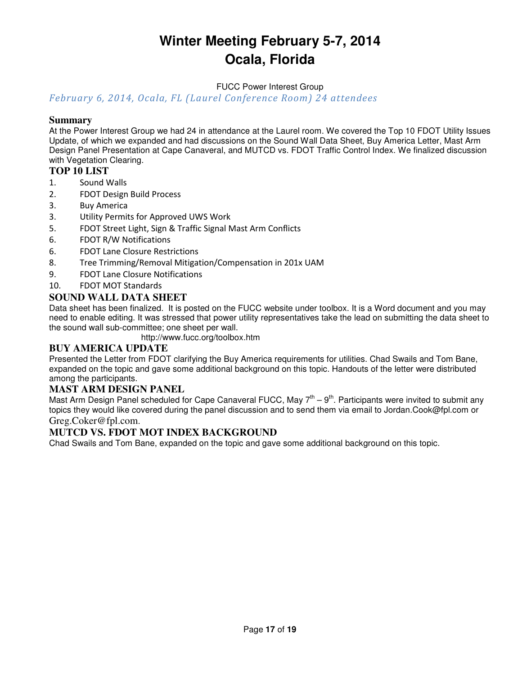FUCC Power Interest Group

February 6, 2014, Ocala, FL (Laurel Conference Room) 24 attendees

#### **Summary**

At the Power Interest Group we had 24 in attendance at the Laurel room. We covered the Top 10 FDOT Utility Issues Update, of which we expanded and had discussions on the Sound Wall Data Sheet, Buy America Letter, Mast Arm Design Panel Presentation at Cape Canaveral, and MUTCD vs. FDOT Traffic Control Index. We finalized discussion with Vegetation Clearing.

#### **TOP 10 LIST**

- 1. Sound Walls
- 2. FDOT Design Build Process
- 3. Buy America
- 3. Utility Permits for Approved UWS Work
- 5. FDOT Street Light, Sign & Traffic Signal Mast Arm Conflicts
- 6. FDOT R/W Notifications
- 6. FDOT Lane Closure Restrictions
- 8. Tree Trimming/Removal Mitigation/Compensation in 201x UAM
- 9. FDOT Lane Closure Notifications
- 10. FDOT MOT Standards

#### **SOUND WALL DATA SHEET**

Data sheet has been finalized. It is posted on the FUCC website under toolbox. It is a Word document and you may need to enable editing. It was stressed that power utility representatives take the lead on submitting the data sheet to the sound wall sub-committee; one sheet per wall.

http://www.fucc.org/toolbox.htm

#### **BUY AMERICA UPDATE**

Presented the Letter from FDOT clarifying the Buy America requirements for utilities. Chad Swails and Tom Bane, expanded on the topic and gave some additional background on this topic. Handouts of the letter were distributed among the participants.

#### **MAST ARM DESIGN PANEL**

Mast Arm Design Panel scheduled for Cape Canaveral FUCC, May  $7<sup>th</sup> - 9<sup>th</sup>$ . Participants were invited to submit any topics they would like covered during the panel discussion and to send them via email to Jordan.Cook@fpl.com or Greg.Coker@fpl.com.

#### **MUTCD VS. FDOT MOT INDEX BACKGROUND**

Chad Swails and Tom Bane, expanded on the topic and gave some additional background on this topic.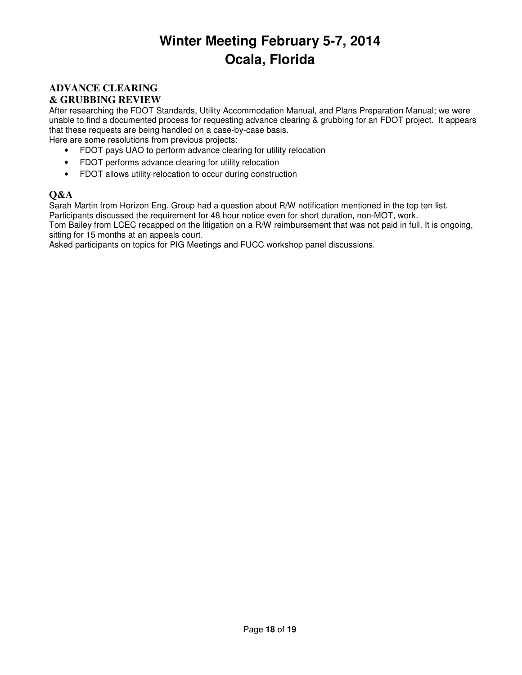#### **ADVANCE CLEARING & GRUBBING REVIEW**

After researching the FDOT Standards, Utility Accommodation Manual, and Plans Preparation Manual; we were unable to find a documented process for requesting advance clearing & grubbing for an FDOT project. It appears that these requests are being handled on a case-by-case basis.

Here are some resolutions from previous projects:

- FDOT pays UAO to perform advance clearing for utility relocation
- FDOT performs advance clearing for utility relocation
- FDOT allows utility relocation to occur during construction

#### **Q&A**

Sarah Martin from Horizon Eng. Group had a question about R/W notification mentioned in the top ten list.

Participants discussed the requirement for 48 hour notice even for short duration, non-MOT, work.

Tom Bailey from LCEC recapped on the litigation on a R/W reimbursement that was not paid in full. It is ongoing, sitting for 15 months at an appeals court.

Asked participants on topics for PIG Meetings and FUCC workshop panel discussions.